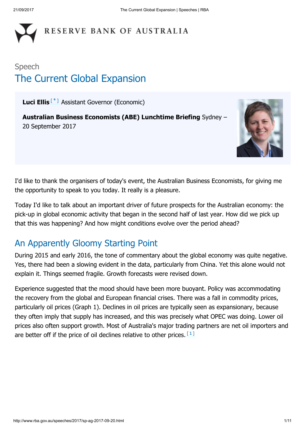# RESERVE BANK OF AUSTRALIA

## Speech The Current Global Expansion

<span id="page-0-0"></span>Luci Ellis<sup>[[\\*](#page-10-0)]</sup> Assistant Governor (Economic)

Australian Business Economists (ABE) Lunchtime Briefing Sydney – 20 September 2017



I'd like to thank the organisers of today's event, the Australian Business Economists, for giving me the opportunity to speak to you today. It really is a pleasure.

Today I'd like to talk about an important driver of future prospects for the Australian economy: the pick-up in global economic activity that began in the second half of last year. How did we pick up that this was happening? And how might conditions evolve over the period ahead?

### An Apparently Gloomy Starting Point

During 2015 and early 2016, the tone of commentary about the global economy was quite negative. Yes, there had been a slowing evident in the data, particularly from China. Yet this alone would not explain it. Things seemed fragile. Growth forecasts were revised down.

<span id="page-0-1"></span>Experience suggested that the mood should have been more buoyant. Policy was accommodating the recovery from the global and European financial crises. There was a fall in commodity prices, particularly oil prices (Graph 1). Declines in oil prices are typically seen as expansionary, because they often imply that supply has increased, and this was precisely what OPEC was doing. Lower oil prices also often support growth. Most of Australia's major trading partners are net oil importers and are better off if the price of oil declines relative to other prices.  $[1]$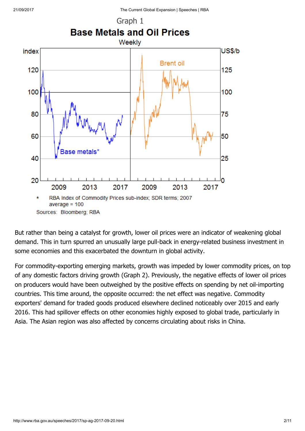

But rather than being a catalyst for growth, lower oil prices were an indicator of weakening global demand. This in turn spurred an unusually large pull-back in energy-related business investment in some economies and this exacerbated the downturn in global activity.

For commodity-exporting emerging markets, growth was impeded by lower commodity prices, on top of any domestic factors driving growth (Graph 2). Previously, the negative effects of lower oil prices on producers would have been outweighed by the positive effects on spending by net oil-importing countries. This time around, the opposite occurred: the net effect was negative. Commodity exporters' demand for traded goods produced elsewhere declined noticeably over 2015 and early 2016. This had spillover effects on other economies highly exposed to global trade, particularly in Asia. The Asian region was also affected by concerns circulating about risks in China.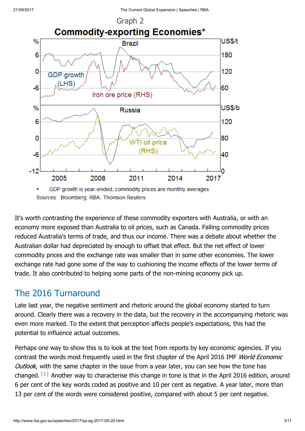

Sources: Bloomberg; RBA; Thomson Reuters

It's worth contrasting the experience of these commodity exporters with Australia, or with an economy more exposed than Australia to oil prices, such as Canada. Falling commodity prices reduced Australia's terms of trade, and thus our income. There was a debate about whether the Australian dollar had depreciated by enough to offset that effect. But the net effect of lower commodity prices and the exchange rate was smaller than in some other economies. The lower exchange rate had gone some of the way to cushioning the income effects of the lower terms of trade. It also contributed to helping some parts of the non-mining economy pick up.

### The 2016 Turnaround

Late last year, the negative sentiment and rhetoric around the global economy started to turn around. Clearly there was a recovery in the data, but the recovery in the accompanying rhetoric was even more marked. To the extent that perception affects people's expectations, this had the potential to influence actual outcomes.

<span id="page-2-0"></span>Perhaps one way to show this is to look at the text from reports by key economic agencies. If you contrast the words most frequently used in the first chapter of the April 2016 IMF *World Economic* Outlook, with the same chapter in the issue from a year later, you can see how the tone has changed.  $[2]$  Another way to characterise this change in tone is that in the April 2016 edition, around 6 per cent of the key words coded as positive and 10 per cent as negative. A year later, more than 13 per cent of the words were considered positive, compared with about 5 per cent negative.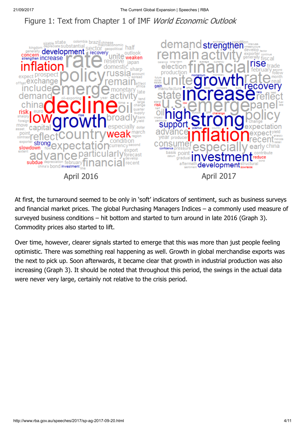### Figure 1: Text from Chapter 1 of IMF World Economic Outlook



At first, the turnaround seemed to be only in 'soft' indicators of sentiment, such as business surveys and financial market prices. The global Purchasing Managers Indices – a commonly used measure of surveyed business conditions – hit bottom and started to turn around in late 2016 (Graph 3). Commodity prices also started to lift.

Over time, however, clearer signals started to emerge that this was more than just people feeling optimistic. There was something real happening as well. Growth in global merchandise exports was the next to pick up. Soon afterwards, it became clear that growth in industrial production was also increasing (Graph 3). It should be noted that throughout this period, the swings in the actual data were never very large, certainly not relative to the crisis period.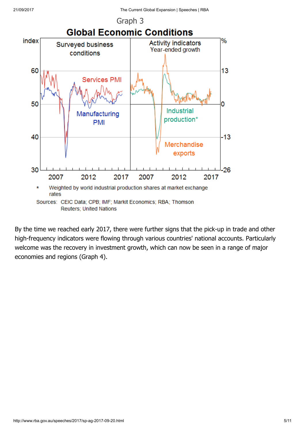

By the time we reached early 2017, there were further signs that the pick-up in trade and other high-frequency indicators were flowing through various countries' national accounts. Particularly welcome was the recovery in investment growth, which can now be seen in a range of major economies and regions (Graph 4).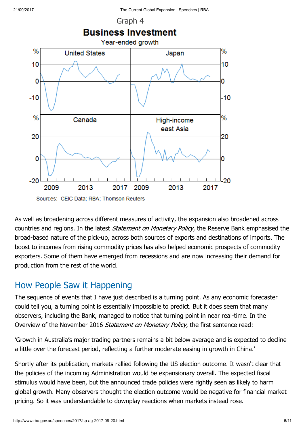

As well as broadening across different measures of activity, the expansion also broadened across countries and regions. In the latest *Statement on Monetary Policy*, the Reserve Bank emphasised the broad-based nature of the pick-up, across both sources of exports and destinations of imports. The boost to incomes from rising commodity prices has also helped economic prospects of commodity exporters. Some of them have emerged from recessions and are now increasing their demand for production from the rest of the world.

### How People Saw it Happening

The sequence of events that I have just described is a turning point. As any economic forecaster could tell you, a turning point is essentially impossible to predict. But it does seem that many observers, including the Bank, managed to notice that turning point in near real-time. In the Overview of the November 2016 Statement on Monetary Policy, the first sentence read:

'Growth in Australia's major trading partners remains a bit below average and is expected to decline a little over the forecast period, reflecting a further moderate easing in growth in China.'

Shortly after its publication, markets rallied following the US election outcome. It wasn't clear that the policies of the incoming Administration would be expansionary overall. The expected fiscal stimulus would have been, but the announced trade policies were rightly seen as likely to harm global growth. Many observers thought the election outcome would be negative for financial market pricing. So it was understandable to downplay reactions when markets instead rose.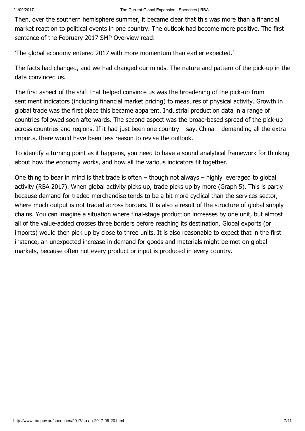Then, over the southern hemisphere summer, it became clear that this was more than a financial market reaction to political events in one country. The outlook had become more positive. The first sentence of the February 2017 SMP Overview read:

'The global economy entered 2017 with more momentum than earlier expected.'

The facts had changed, and we had changed our minds. The nature and pattern of the pick-up in the data convinced us.

The first aspect of the shift that helped convince us was the broadening of the pick-up from sentiment indicators (including financial market pricing) to measures of physical activity. Growth in global trade was the first place this became apparent. Industrial production data in a range of countries followed soon afterwards. The second aspect was the broad-based spread of the pick-up across countries and regions. If it had just been one country – say, China – demanding all the extra imports, there would have been less reason to revise the outlook.

To identify a turning point as it happens, you need to have a sound analytical framework for thinking about how the economy works, and how all the various indicators fit together.

One thing to bear in mind is that trade is often – though not always – highly leveraged to global activity (RBA 2017). When global activity picks up, trade picks up by more (Graph 5). This is partly because demand for traded merchandise tends to be a bit more cyclical than the services sector, where much output is not traded across borders. It is also a result of the structure of global supply chains. You can imagine a situation where final-stage production increases by one unit, but almost all of the value-added crosses three borders before reaching its destination. Global exports (or imports) would then pick up by close to three units. It is also reasonable to expect that in the first instance, an unexpected increase in demand for goods and materials might be met on global markets, because often not every product or input is produced in every country.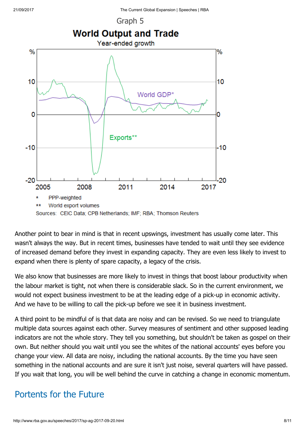

Another point to bear in mind is that in recent upswings, investment has usually come later. This wasn't always the way. But in recent times, businesses have tended to wait until they see evidence of increased demand before they invest in expanding capacity. They are even less likely to invest to expand when there is plenty of spare capacity, a legacy of the crisis.

We also know that businesses are more likely to invest in things that boost labour productivity when the labour market is tight, not when there is considerable slack. So in the current environment, we would not expect business investment to be at the leading edge of a pick-up in economic activity. And we have to be willing to call the pick-up before we see it in business investment.

A third point to be mindful of is that data are noisy and can be revised. So we need to triangulate multiple data sources against each other. Survey measures of sentiment and other supposed leading indicators are not the whole story. They tell you something, but shouldn't be taken as gospel on their own. But neither should you wait until you see the whites of the national accounts' eyes before you change your view. All data are noisy, including the national accounts. By the time you have seen something in the national accounts and are sure it isn't just noise, several quarters will have passed. If you wait that long, you will be well behind the curve in catching a change in economic momentum.

### Portents for the Future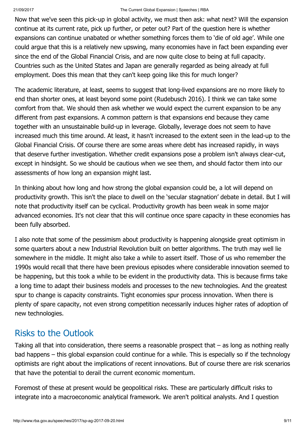#### 21/09/2017 The Current Global Expansion | Speeches | RBA

Now that we've seen this pick-up in global activity, we must then ask: what next? Will the expansion continue at its current rate, pick up further, or peter out? Part of the question here is whether expansions can continue unabated or whether something forces them to 'die of old age'. While one could argue that this is a relatively new upswing, many economies have in fact been expanding ever since the end of the Global Financial Crisis, and are now quite close to being at full capacity. Countries such as the United States and Japan are generally regarded as being already at full employment. Does this mean that they can't keep going like this for much longer?

The academic literature, at least, seems to suggest that long-lived expansions are no more likely to end than shorter ones, at least beyond some point (Rudebusch 2016). I think we can take some comfort from that. We should then ask whether we would expect the current expansion to be any different from past expansions. A common pattern is that expansions end because they came together with an unsustainable build-up in leverage. Globally, leverage does not seem to have increased much this time around. At least, it hasn't increased to the extent seen in the lead-up to the Global Financial Crisis. Of course there are some areas where debt has increased rapidly, in ways that deserve further investigation. Whether credit expansions pose a problem isn't always clear-cut, except in hindsight. So we should be cautious when we see them, and should factor them into our assessments of how long an expansion might last.

In thinking about how long and how strong the global expansion could be, a lot will depend on productivity growth. This isn't the place to dwell on the 'secular stagnation' debate in detail. But I will note that productivity itself can be cyclical. Productivity growth has been weak in some major advanced economies. It's not clear that this will continue once spare capacity in these economies has been fully absorbed.

I also note that some of the pessimism about productivity is happening alongside great optimism in some quarters about a new Industrial Revolution built on better algorithms. The truth may well lie somewhere in the middle. It might also take a while to assert itself. Those of us who remember the 1990s would recall that there have been previous episodes where considerable innovation seemed to be happening, but this took a while to be evident in the productivity data. This is because firms take a long time to adapt their business models and processes to the new technologies. And the greatest spur to change is capacity constraints. Tight economies spur process innovation. When there is plenty of spare capacity, not even strong competition necessarily induces higher rates of adoption of new technologies.

### Risks to the Outlook

Taking all that into consideration, there seems a reasonable prospect that – as long as nothing really bad happens – this global expansion could continue for a while. This is especially so if the technology optimists are right about the implications of recent innovations. But of course there are risk scenarios that have the potential to derail the current economic momentum.

Foremost of these at present would be geopolitical risks. These are particularly difficult risks to integrate into a macroeconomic analytical framework. We aren't political analysts. And I question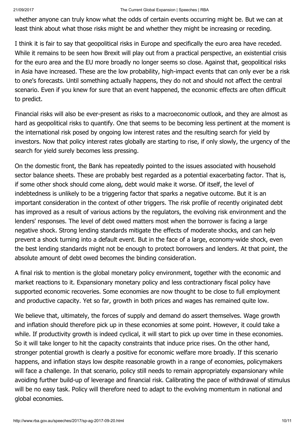### 21/09/2017 The Current Global Expansion | Speeches | RBA

whether anyone can truly know what the odds of certain events occurring might be. But we can at least think about what those risks might be and whether they might be increasing or receding.

I think it is fair to say that geopolitical risks in Europe and specifically the euro area have receded. While it remains to be seen how Brexit will play out from a practical perspective, an existential crisis for the euro area and the EU more broadly no longer seems so close. Against that, geopolitical risks in Asia have increased. These are the low probability, high-impact events that can only ever be a risk to one's forecasts. Until something actually happens, they do not and should not affect the central scenario. Even if you knew for sure that an event happened, the economic effects are often difficult to predict.

Financial risks will also be ever-present as risks to a macroeconomic outlook, and they are almost as hard as geopolitical risks to quantify. One that seems to be becoming less pertinent at the moment is the international risk posed by ongoing low interest rates and the resulting search for yield by investors. Now that policy interest rates globally are starting to rise, if only slowly, the urgency of the search for yield surely becomes less pressing.

On the domestic front, the Bank has repeatedly pointed to the issues associated with household sector balance sheets. These are probably best regarded as a potential exacerbating factor. That is, if some other shock should come along, debt would make it worse. Of itself, the level of indebtedness is unlikely to be a triggering factor that sparks a negative outcome. But it is an important consideration in the context of other triggers. The risk profile of recently originated debt has improved as a result of various actions by the regulators, the evolving risk environment and the lenders' responses. The level of debt owed matters most when the borrower is facing a large negative shock. Strong lending standards mitigate the effects of moderate shocks, and can help prevent a shock turning into a default event. But in the face of a large, economy-wide shock, even the best lending standards might not be enough to protect borrowers and lenders. At that point, the absolute amount of debt owed becomes the binding consideration.

A final risk to mention is the global monetary policy environment, together with the economic and market reactions to it. Expansionary monetary policy and less contractionary fiscal policy have supported economic recoveries. Some economies are now thought to be close to full employment and productive capacity. Yet so far, growth in both prices and wages has remained quite low.

We believe that, ultimately, the forces of supply and demand do assert themselves. Wage growth and inflation should therefore pick up in these economies at some point. However, it could take a while. If productivity growth is indeed cyclical, it will start to pick up over time in these economies. So it will take longer to hit the capacity constraints that induce price rises. On the other hand, stronger potential growth is clearly a positive for economic welfare more broadly. If this scenario happens, and inflation stays low despite reasonable growth in a range of economies, policymakers will face a challenge. In that scenario, policy still needs to remain appropriately expansionary while avoiding further build-up of leverage and financial risk. Calibrating the pace of withdrawal of stimulus will be no easy task. Policy will therefore need to adapt to the evolving momentum in national and global economies.